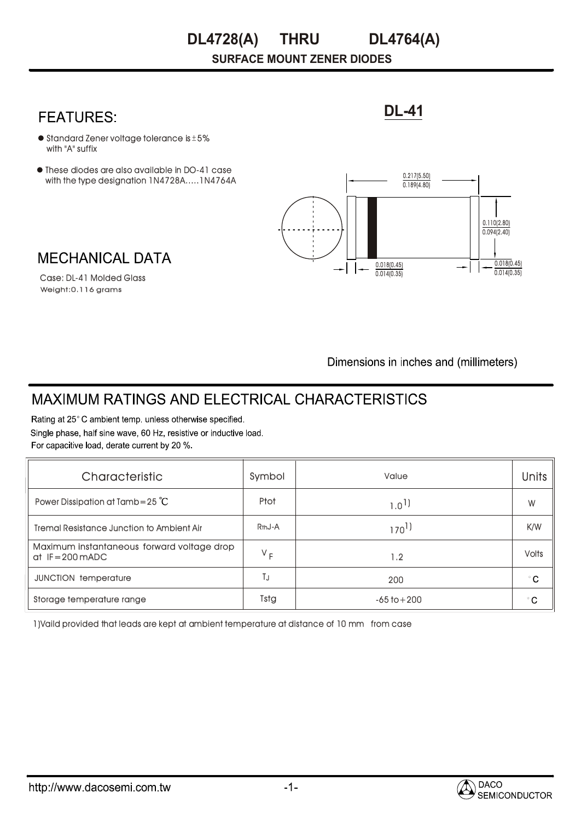#### **THRU DL4728(A) DL4764(A)**

**SURFACE MOUNT ZENER DIODES**

### **FEATURES:**

- $\bullet$  Standard Zener voltage tolerance is  $\pm$  5% with "A" suffix
- These diodes are also available in DO-41 case with the type designation 1N4728A.....1N4764A



**DL-41**

## **MECHANICAL DATA**

Weight:0.116 grams Case: DL-41 Molded Glass

Dimensions in inches and (millimeters)

# **MAXIMUM RATINGS AND ELECTRICAL CHARACTERISTICS**

Rating at 25°C ambient temp. unless otherwise specified. Single phase, half sine wave, 60 Hz, resistive or inductive load. For capacitive load, derate current by 20 %.

| Characteristic                                                 | Symbol              | Value           | <b>Units</b> |
|----------------------------------------------------------------|---------------------|-----------------|--------------|
| Power Dissipation at Tamb=25 $^{\circ}$ C                      | <b>Ptot</b>         | $1.0^{1}$       | W            |
| Tremal Resistance Junction to Ambient Air                      | R <sub>th</sub> J-A | $170^{1}$       | K/W          |
| Maximum instantaneous forward voltage drop<br>$at$ IF=200 mADC | $V_F$               | 1.2             | <b>Volts</b> |
| <b>JUNCTION temperature</b>                                    | ТJ                  | 200             | $^{\circ}$ C |
| Storage temperature range                                      | Tstg                | $-65$ to $+200$ | $^{\circ}$ C |

1)Vaild provided that leads are kept at ambient temperature at distance of 10 mm from case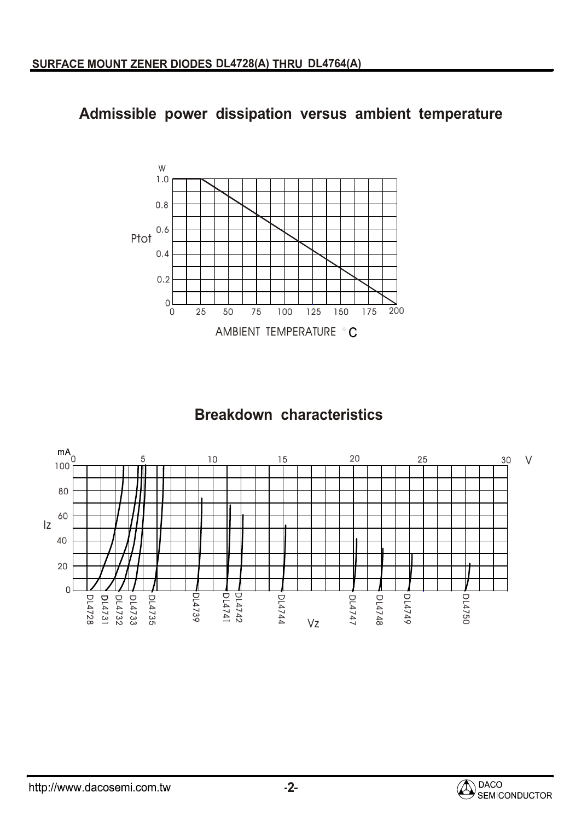## **Admissible power dissipation versus ambient temperature**



## **Breakdown characteristics**